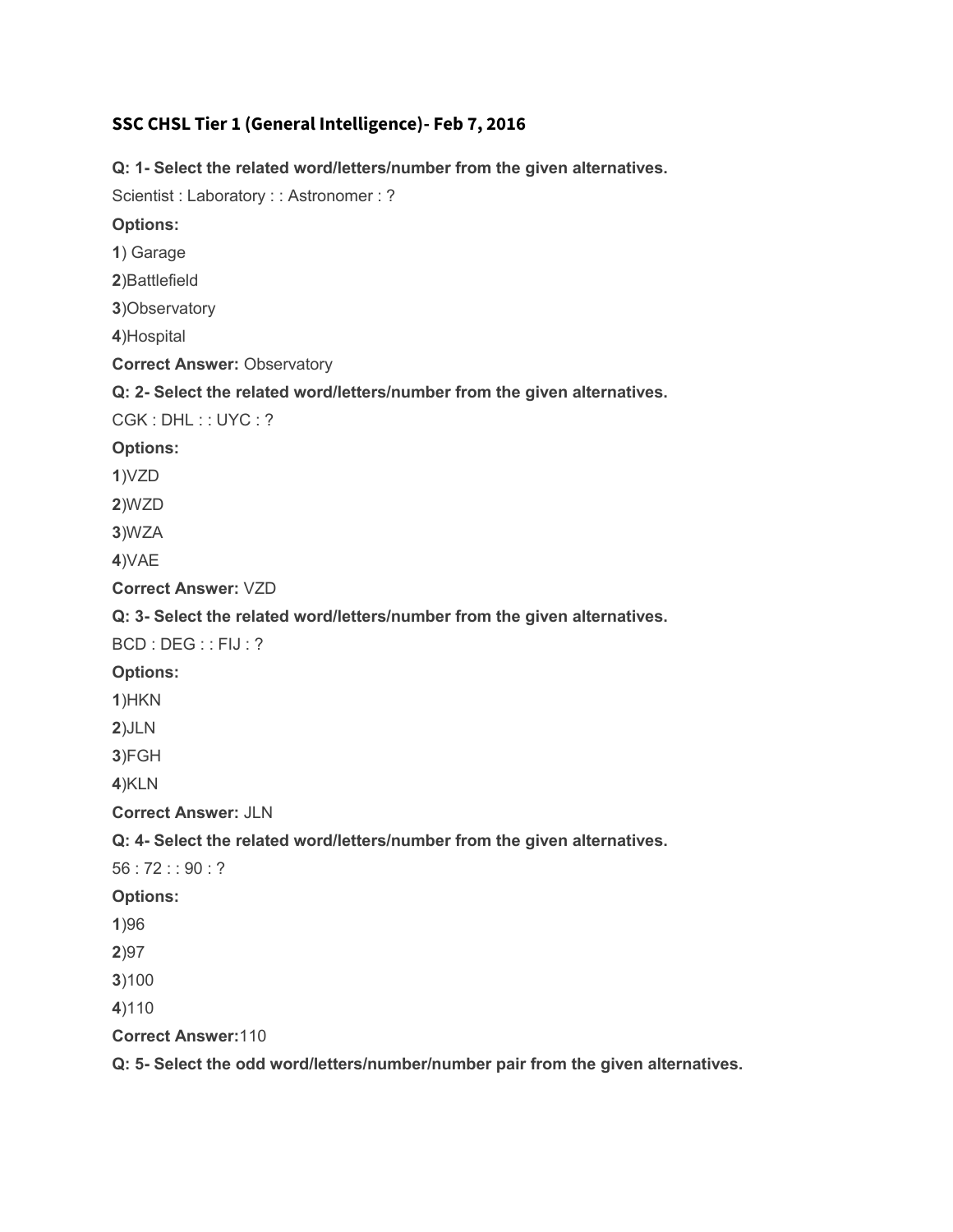## **SSC CHSL Tier 1 (General Intelligence)- Feb 7, 2016**

**Q: 1- Select the related word/letters/number from the given alternatives.** Scientist : Laboratory : : Astronomer : ? **Options: 1**) Garage **2**)Battlefield **3**)Observatory **4**)Hospital **Correct Answer: Observatory Q: 2- Select the related word/letters/number from the given alternatives.** CGK : DHL : : UYC : ? **Options: 1**)VZD **2**)WZD **3**)WZA **4**)VAE **Correct Answer:** VZD **Q: 3- Select the related word/letters/number from the given alternatives.** BCD : DEG : : FIJ : ? **Options: 1**)HKN **2**)JLN **3**)FGH **4**)KLN **Correct Answer:** JLN **Q: 4- Select the related word/letters/number from the given alternatives.** 56 : 72 : : 90 : ? **Options: 1**)96 **2**)97 **3**)100 **4**)110 **Correct Answer:**110 **Q: 5- Select the odd word/letters/number/number pair from the given alternatives.**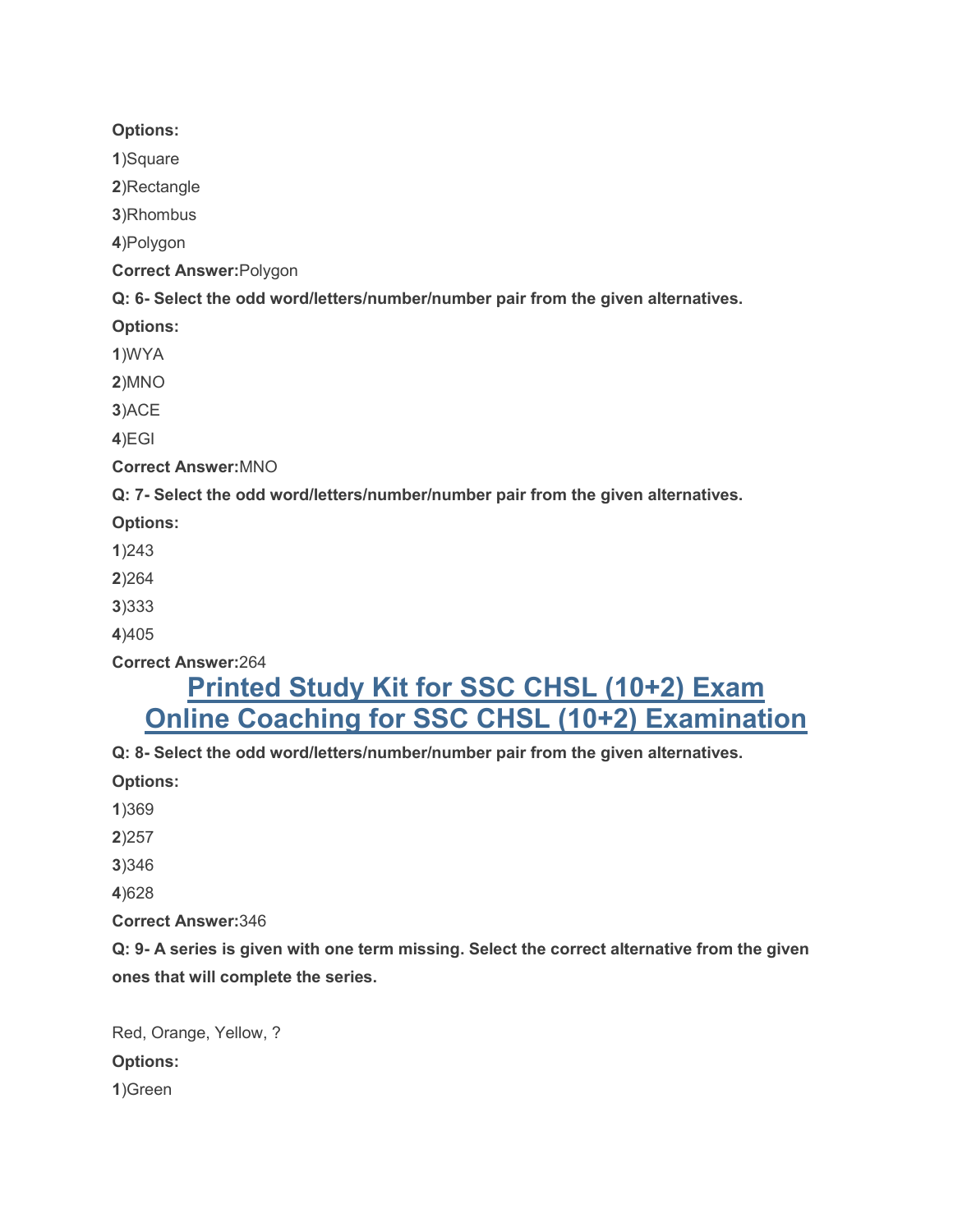#### **Options:**

**1**)Square

**2**)Rectangle

**3**)Rhombus

**4**)Polygon

**Correct Answer:**Polygon

**Q: 6- Select the odd word/letters/number/number pair from the given alternatives.**

**Options:**

**1**)WYA

**2**)MNO

**3**)ACE

**4**)EGI

**Correct Answer:**MNO

**Q: 7- Select the odd word/letters/number/number pair from the given alternatives.**

**Options:**

**1**)243

**2**)264

**3**)333

**4**)405

**Correct Answer:**264

# **[Printed Study Kit for SSC CHSL \(10+2\) Exam](http://sscportal.in/community/study-kit/chsle) [Online Coaching for SSC CHSL \(10+2\) Examination](http://sscportal.in/community/courses/ssc-chsl)**

**Q: 8- Select the odd word/letters/number/number pair from the given alternatives.**

**Options:**

**1**)369

**2**)257

**3**)346

**4**)628

**Correct Answer:**346

**Q: 9- A series is given with one term missing. Select the correct alternative from the given ones that will complete the series.**

Red, Orange, Yellow, ? **Options: 1**)Green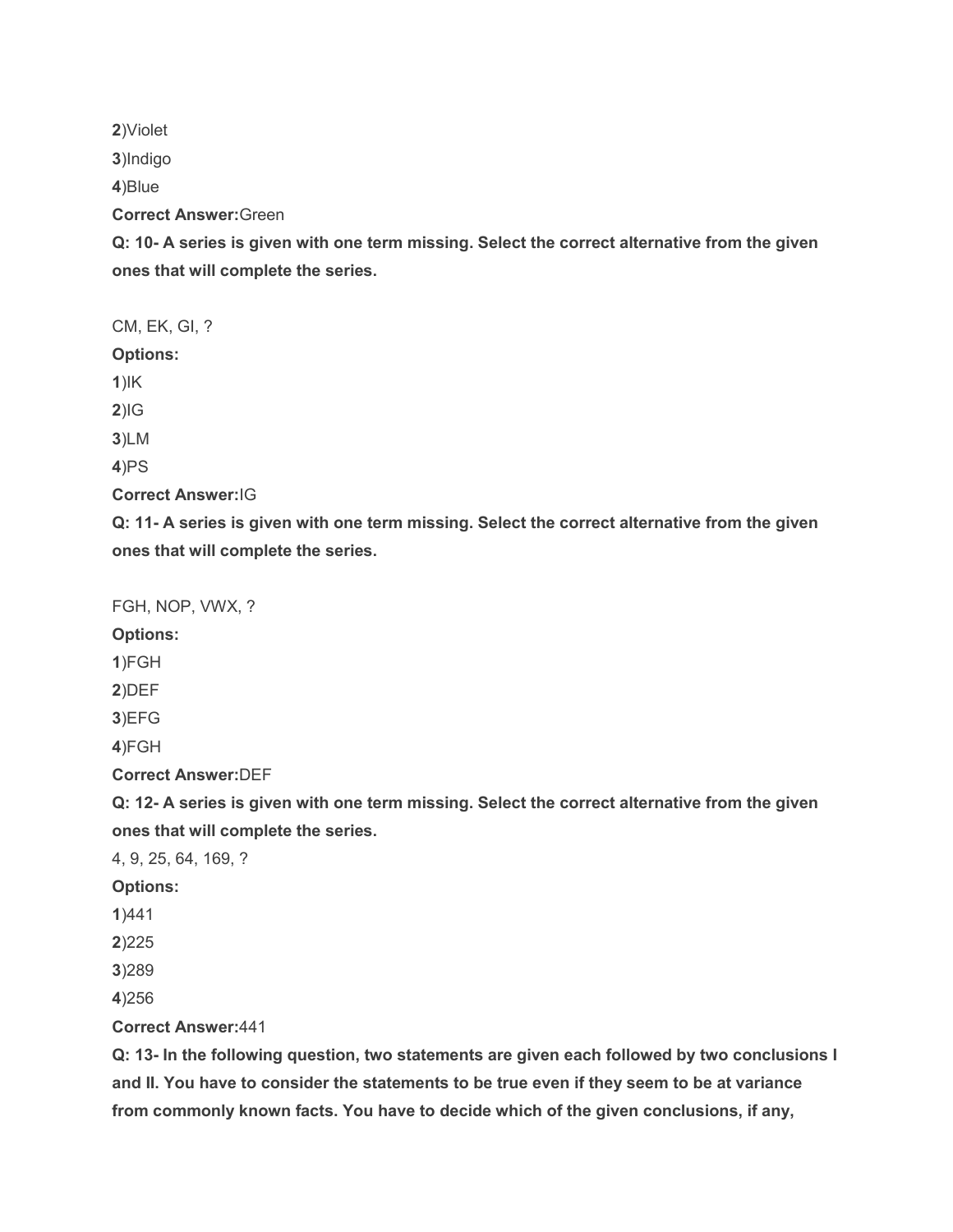**2**)Violet

**3**)Indigo

**4**)Blue

**Correct Answer:**Green

**Q: 10- A series is given with one term missing. Select the correct alternative from the given ones that will complete the series.**

CM, EK, GI, ? **Options: 1**)IK **2**)IG **3**)LM **4**)PS **Correct Answer:**IG

**Q: 11- A series is given with one term missing. Select the correct alternative from the given ones that will complete the series.**

FGH, NOP, VWX, ?

**Options:**

**1**)FGH

**2**)DEF

**3**)EFG

**4**)FGH

**Correct Answer:**DEF

**Q: 12- A series is given with one term missing. Select the correct alternative from the given ones that will complete the series.**

4, 9, 25, 64, 169, ?

**Options:**

**1**)441

**2**)225

**3**)289

**4**)256

**Correct Answer:**441

**Q: 13- In the following question, two statements are given each followed by two conclusions I and II. You have to consider the statements to be true even if they seem to be at variance from commonly known facts. You have to decide which of the given conclusions, if any,**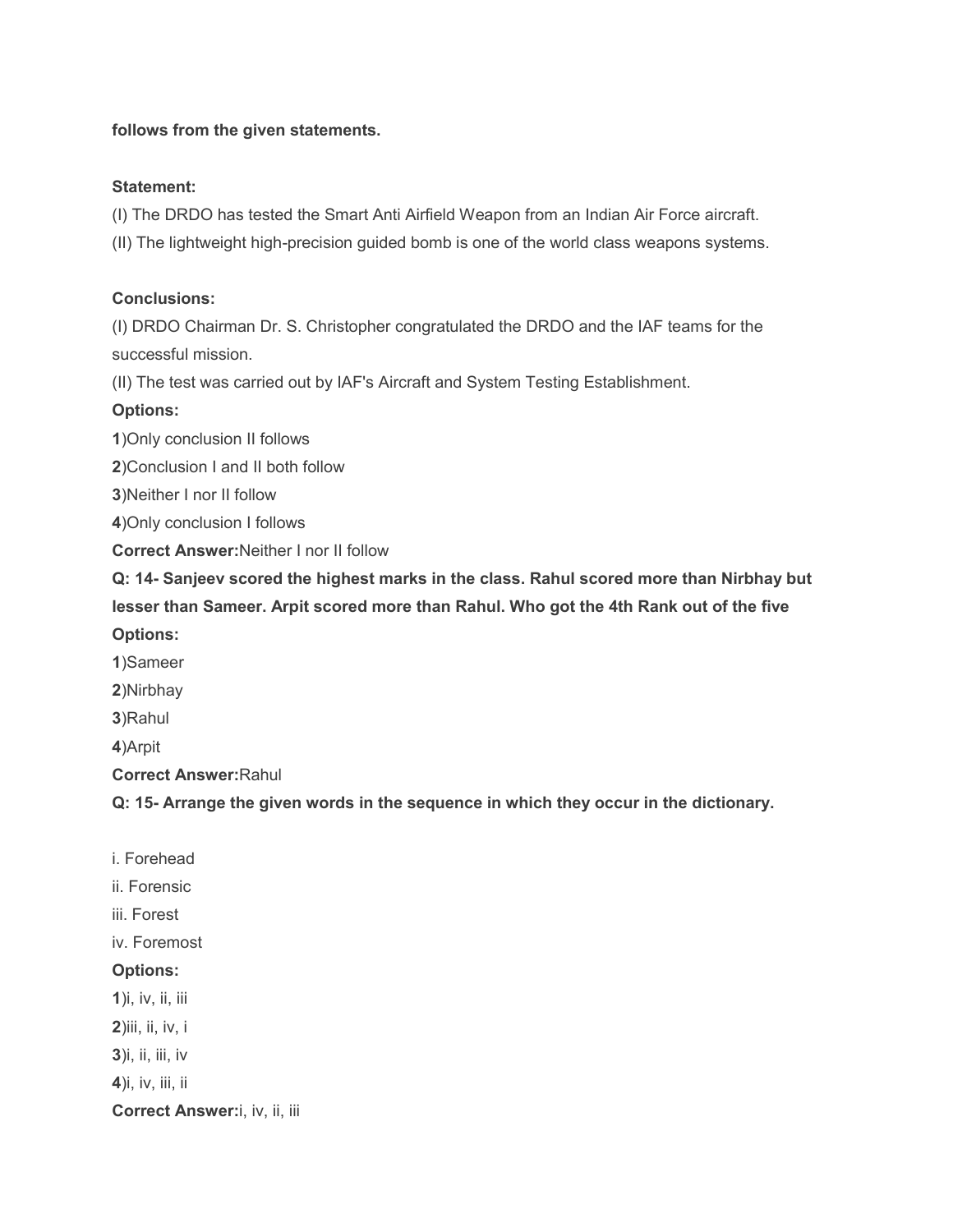#### **follows from the given statements.**

#### **Statement:**

(I) The DRDO has tested the Smart Anti Airfield Weapon from an Indian Air Force aircraft.

(II) The lightweight high-precision guided bomb is one of the world class weapons systems.

#### **Conclusions:**

(I) DRDO Chairman Dr. S. Christopher congratulated the DRDO and the IAF teams for the successful mission.

(II) The test was carried out by IAF's Aircraft and System Testing Establishment.

#### **Options:**

**1**)Only conclusion II follows

**2**)Conclusion I and II both follow

**3**)Neither I nor II follow

**4**)Only conclusion I follows

**Correct Answer:**Neither I nor II follow

**Q: 14- Sanjeev scored the highest marks in the class. Rahul scored more than Nirbhay but lesser than Sameer. Arpit scored more than Rahul. Who got the 4th Rank out of the five Options:**

**1**)Sameer

**2**)Nirbhay

**3**)Rahul

**4**)Arpit

**Correct Answer:**Rahul

**Q: 15- Arrange the given words in the sequence in which they occur in the dictionary.**

- i. Forehead
- ii. Forensic
- iii. Forest
- iv. Foremost

#### **Options:**

**1**)i, iv, ii, iii

**2**)iii, ii, iv, i

**3**)i, ii, iii, iv

**4**)i, iv, iii, ii

**Correct Answer:**i, iv, ii, iii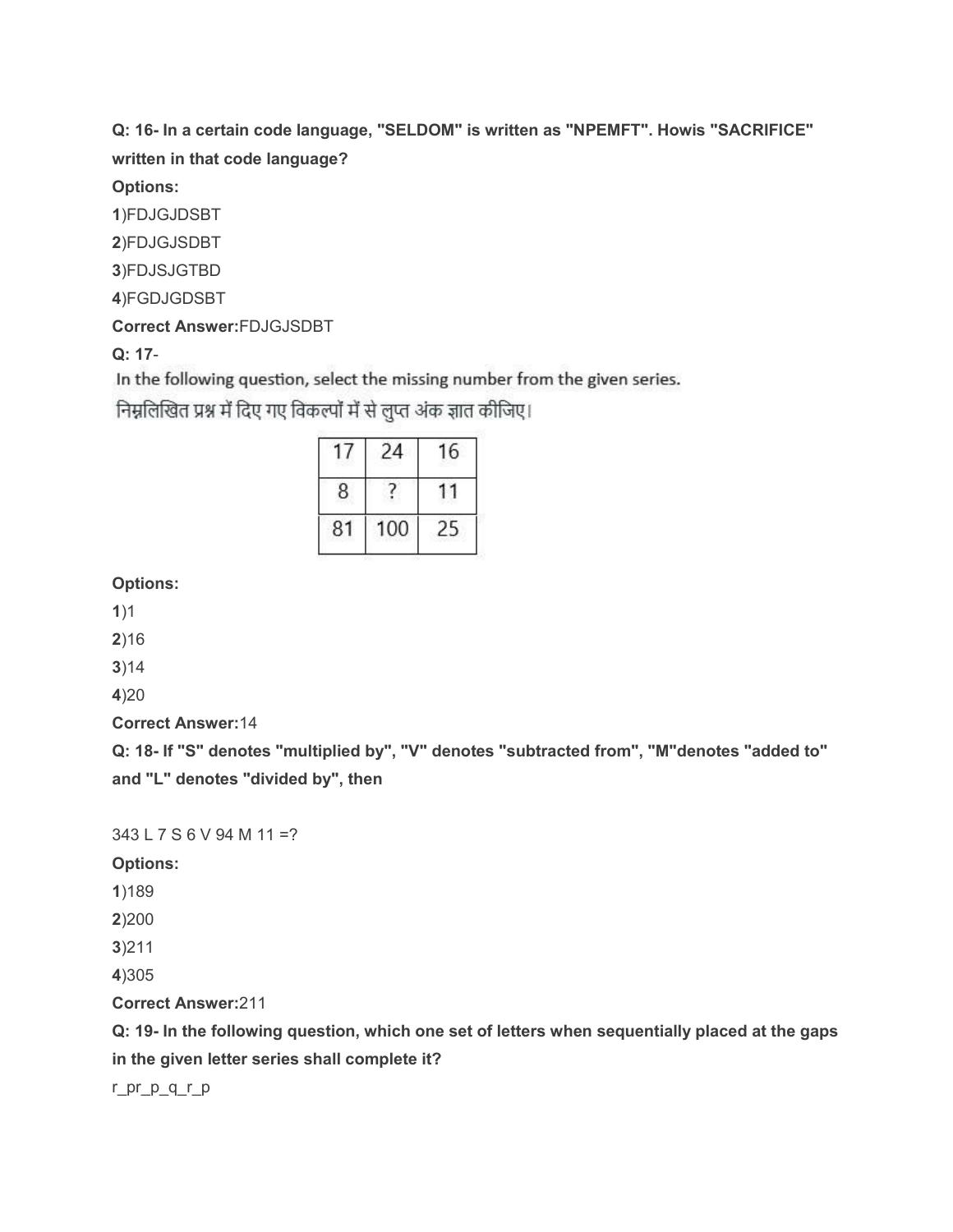**Q: 16- In a certain code language, "SELDOM" is written as "NPEMFT". Howis "SACRIFICE" written in that code language?**

**Options:**

**1**)FDJGJDSBT

**2**)FDJGJSDBT

**3**)FDJSJGTBD

**4**)FGDJGDSBT

**Correct Answer:**FDJGJSDBT

**Q: 17**-

In the following question, select the missing number from the given series.

निम्नलिखित प्रश्न में दिए गए विकल्पों में से लुप्त अंक ज्ञात कीजिए।

|   | ò<br>× |  |
|---|--------|--|
|   |        |  |
| м |        |  |
|   |        |  |

**Options:**

**1**)1

**2**)16

**3**)14

**4**)20

**Correct Answer:**14

**Q: 18- If "S" denotes "multiplied by", "V" denotes "subtracted from", "M"denotes "added to" and "L" denotes "divided by", then**

343 L 7 S 6 V 94 M 11 =?

**Options:**

**1**)189

**2**)200

**3**)211

**4**)305

**Correct Answer:**211

**Q: 19- In the following question, which one set of letters when sequentially placed at the gaps in the given letter series shall complete it?**

r\_pr\_p\_q\_r\_p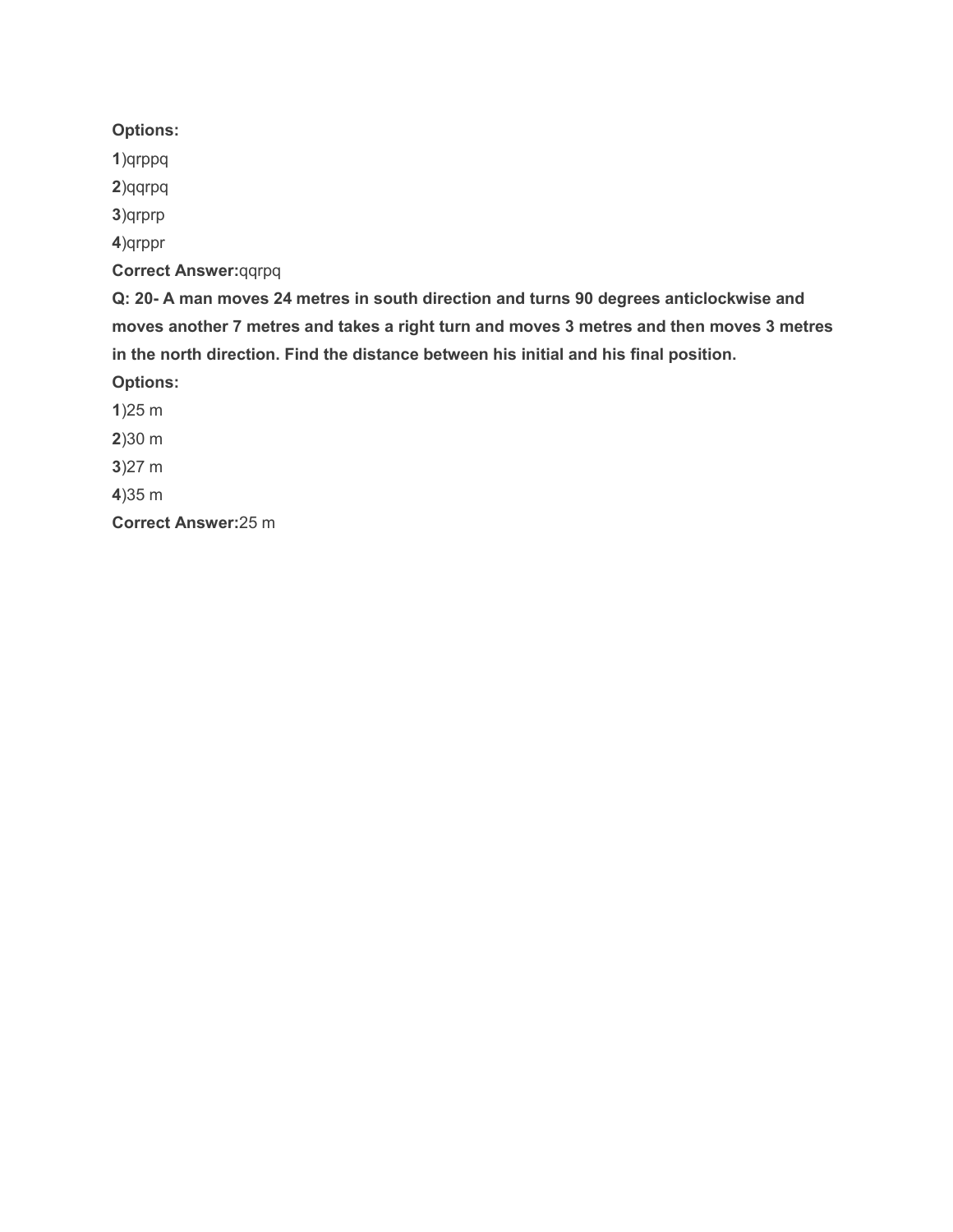# **Options:**

**1**)qrppq

**2**)qqrpq

**3**)qrprp

**4**)qrppr

**Correct Answer:**qqrpq

**Q: 20- A man moves 24 metres in south direction and turns 90 degrees anticlockwise and moves another 7 metres and takes a right turn and moves 3 metres and then moves 3 metres in the north direction. Find the distance between his initial and his final position.**

**Options:**

**1**)25 m **2**)30 m **3**)27 m

**4**)35 m

**Correct Answer:**25 m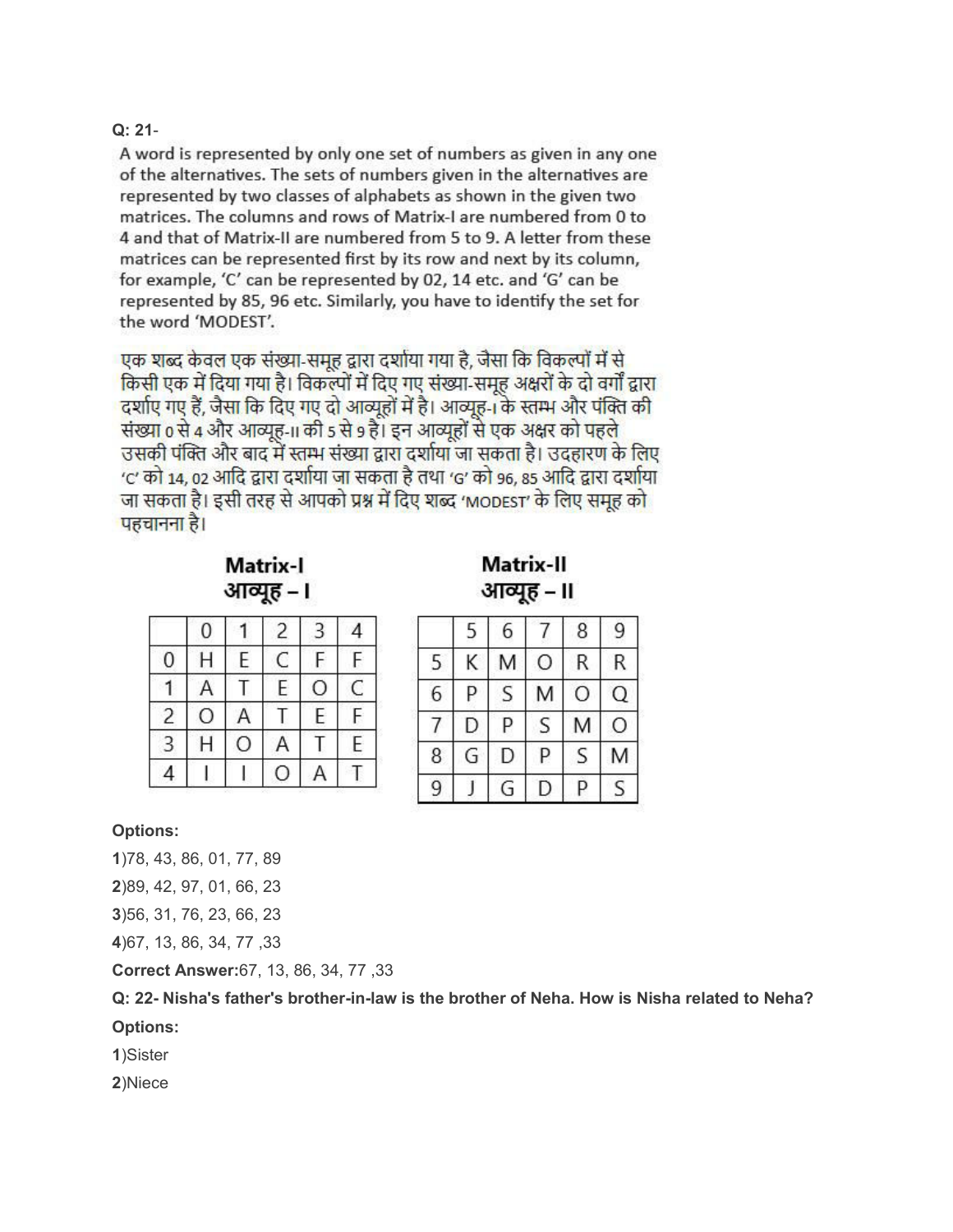#### **Q: 21**-

A word is represented by only one set of numbers as given in any one of the alternatives. The sets of numbers given in the alternatives are represented by two classes of alphabets as shown in the given two matrices. The columns and rows of Matrix-I are numbered from 0 to 4 and that of Matrix-II are numbered from 5 to 9. A letter from these matrices can be represented first by its row and next by its column, for example, 'C' can be represented by 02, 14 etc. and 'G' can be represented by 85, 96 etc. Similarly, you have to identify the set for the word 'MODEST'.

एक शब्द केवल एक संख्या-समूह द्वारा दर्शाया गया है, जैसा कि विकल्पों में से किसी एक में दिया गया है। विकल्पों में दिए गए संख्या-समूह अक्षरों के दो वर्गों द्वारा दर्शाए गए हैं, जैसा कि दिए गए दो आव्यूहों में है। आव्यूह-1 के स्तम्भ और पंक्ति की संख्या 0 से 4 और आव्यूह-11 की 5 से 9 हैं। इन आव्यूहों से एक अक्षर को पहले उसकी पंक्ति और बाद में स्तम्भ संख्या द्वारा दर्शाया जा सकता है। उदहारण के लिए 'C' को 14, 02 आदि द्वारा दर्शाया जा सकता है तथा 'G' को 96, 85 आदि द्वारा दर्शाया जा सकता है। इसी तरह से आपको प्रश्न में दिए शब्द 'MODEST' के लिए समूह को पहचानना है।

**Matrix-I** आव्यह – ।

| Matrix-II  |  |
|------------|--|
| आव्यूह - ॥ |  |

|                | 0            |   | $\overline{c}$ | 3       | 4 |
|----------------|--------------|---|----------------|---------|---|
| 0              | H            | E | $\subset$      | F       | F |
|                | A            |   | E              | $\circ$ | C |
| $\overline{c}$ | O            |   |                | E       | F |
| 3              | $\mathsf{H}$ | 0 | A              |         | E |
|                |              |   | Ο              |         |   |

|   | 5 | 6 |   | 8 | 9 |
|---|---|---|---|---|---|
| 5 | Κ | Μ | Ο | R | R |
| 6 | P | S | М | O | Q |
|   | D | Ρ | S | M | Ο |
| 8 | G | D | Ρ | S | Μ |
| 9 |   | G | D | p | S |

#### **Options:**

**1**)78, 43, 86, 01, 77, 89

**2**)89, 42, 97, 01, 66, 23

**3**)56, 31, 76, 23, 66, 23

**4**)67, 13, 86, 34, 77 ,33

**Correct Answer:**67, 13, 86, 34, 77 ,33

**Q: 22- Nisha's father's brother-in-law is the brother of Neha. How is Nisha related to Neha? Options:**

**1**)Sister

**2**)Niece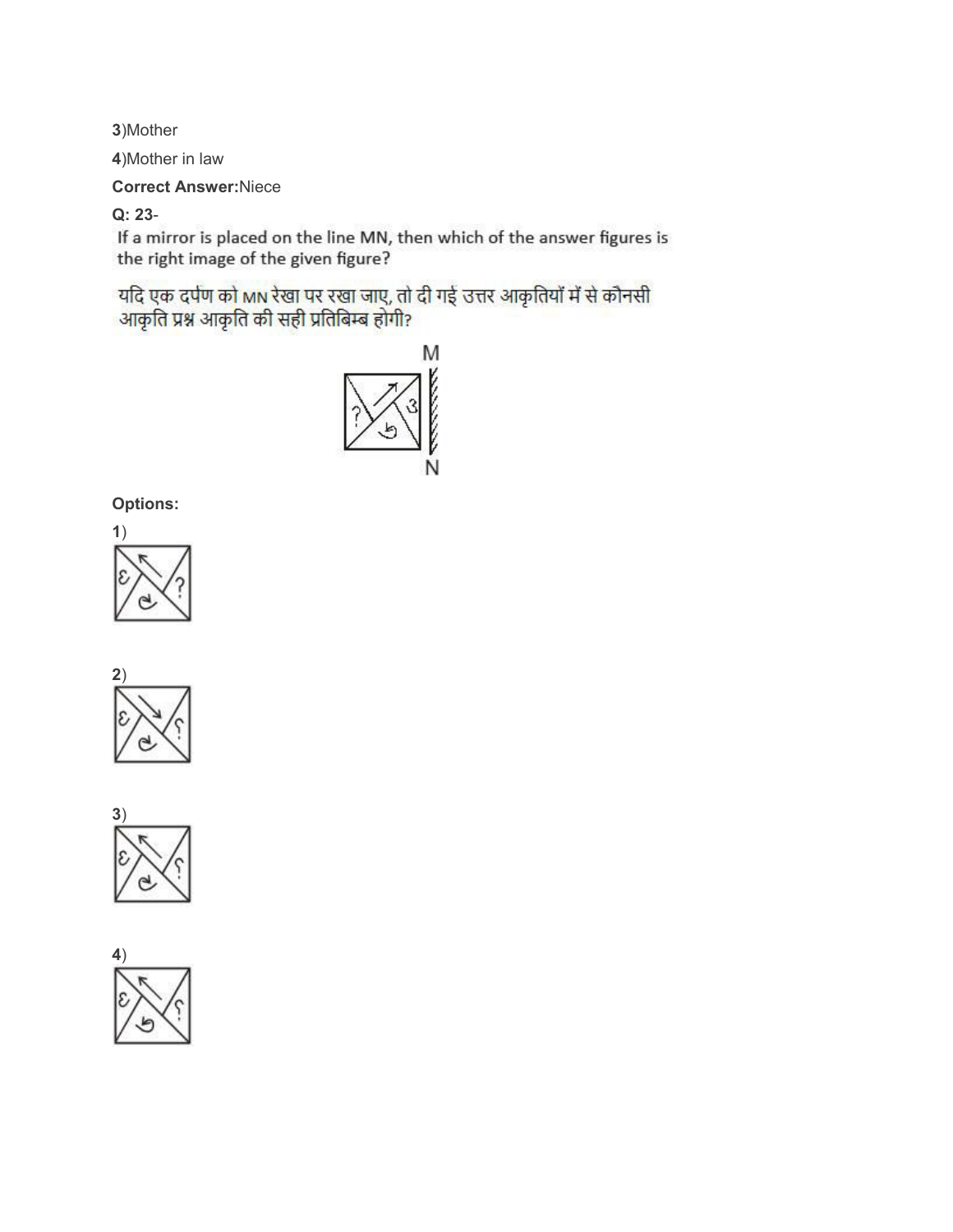**3**)Mother

**4**)Mother in law

**Correct Answer:**Niece

**Q: 23**-

If a mirror is placed on the line MN, then which of the answer figures is the right image of the given figure?

यदि एक दर्पण को MN रेखा पर रखा जाए, तो दी गई उत्तर आकृतियों में से कौनसी<br>आकृति प्रश्न आकृति की सही प्रतिबिम्ब होगी?



**Options:**







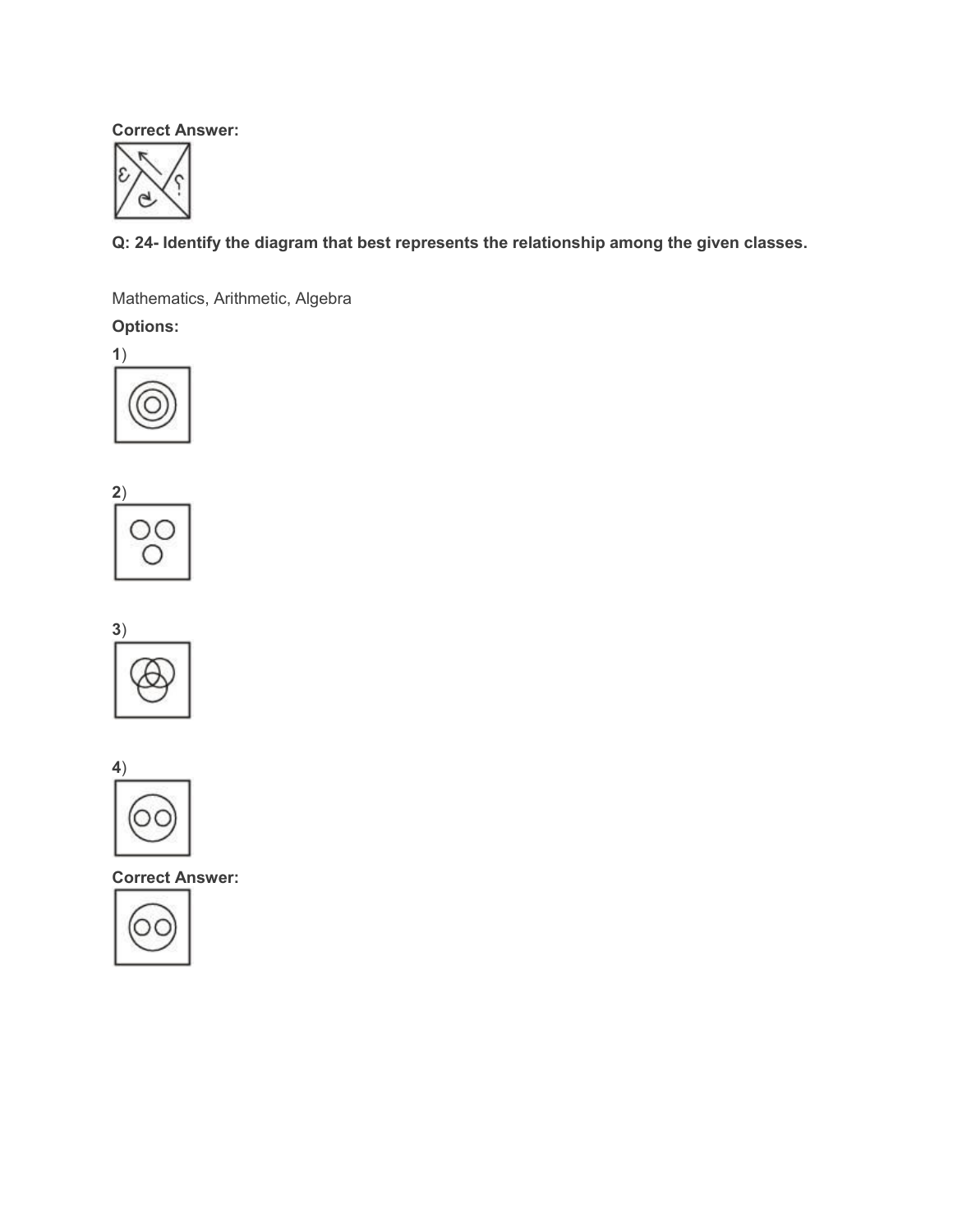**Correct Answer:**



**Q: 24- Identify the diagram that best represents the relationship among the given classes.**

Mathematics, Arithmetic, Algebra

**Options:**









**Correct Answer:**